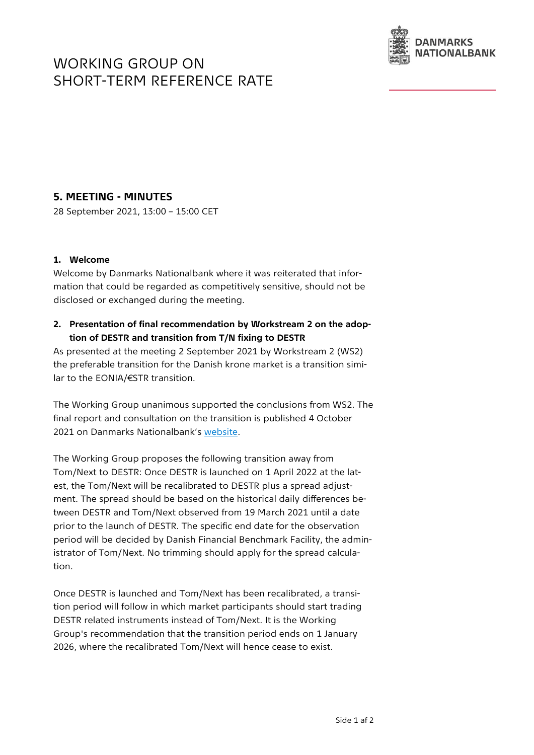# WORKING GROUP ON SHORT-TERM REFERENCE RATE



## **5. MEETING - MINUTES**

28 September 2021, 13:00 – 15:00 CET

#### **1. Welcome**

Welcome by Danmarks Nationalbank where it was reiterated that information that could be regarded as competitively sensitive, should not be disclosed or exchanged during the meeting.

### **2. Presentation of final recommendation by Workstream 2 on the adoption of DESTR and transition from T/N fixing to DESTR**

As presented at the meeting 2 September 2021 by Workstream 2 (WS2) the preferable transition for the Danish krone market is a transition similar to the EONIA/€STR transition.

The Working Group unanimous supported the conclusions from WS2. The final report and consultation on the transition is published 4 October 2021 on Danmarks Nationalbank's [website.](https://www.nationalbanken.dk/en/marketinfo/transaction-based%20_reference_rate/Pages/working-group.aspx)

The Working Group proposes the following transition away from Tom/Next to DESTR: Once DESTR is launched on 1 April 2022 at the latest, the Tom/Next will be recalibrated to DESTR plus a spread adjustment. The spread should be based on the historical daily differences between DESTR and Tom/Next observed from 19 March 2021 until a date prior to the launch of DESTR. The specific end date for the observation period will be decided by Danish Financial Benchmark Facility, the administrator of Tom/Next. No trimming should apply for the spread calculation.

Once DESTR is launched and Tom/Next has been recalibrated, a transition period will follow in which market participants should start trading DESTR related instruments instead of Tom/Next. It is the Working Group's recommendation that the transition period ends on 1 January 2026, where the recalibrated Tom/Next will hence cease to exist.